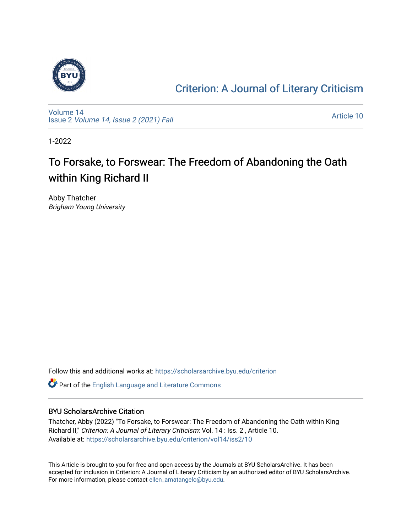

### [Criterion: A Journal of Literary Criticism](https://scholarsarchive.byu.edu/criterion)

[Volume 14](https://scholarsarchive.byu.edu/criterion/vol14) Issue 2 [Volume 14, Issue 2 \(2021\) Fall](https://scholarsarchive.byu.edu/criterion/vol14/iss2)

[Article 10](https://scholarsarchive.byu.edu/criterion/vol14/iss2/10) 

1-2022

### To Forsake, to Forswear: The Freedom of Abandoning the Oath within King Richard II

Abby Thatcher Brigham Young University

Follow this and additional works at: [https://scholarsarchive.byu.edu/criterion](https://scholarsarchive.byu.edu/criterion?utm_source=scholarsarchive.byu.edu%2Fcriterion%2Fvol14%2Fiss2%2F10&utm_medium=PDF&utm_campaign=PDFCoverPages) 

Part of the [English Language and Literature Commons](http://network.bepress.com/hgg/discipline/455?utm_source=scholarsarchive.byu.edu%2Fcriterion%2Fvol14%2Fiss2%2F10&utm_medium=PDF&utm_campaign=PDFCoverPages)

#### BYU ScholarsArchive Citation

Thatcher, Abby (2022) "To Forsake, to Forswear: The Freedom of Abandoning the Oath within King Richard II," Criterion: A Journal of Literary Criticism: Vol. 14 : Iss. 2 , Article 10. Available at: [https://scholarsarchive.byu.edu/criterion/vol14/iss2/10](https://scholarsarchive.byu.edu/criterion/vol14/iss2/10?utm_source=scholarsarchive.byu.edu%2Fcriterion%2Fvol14%2Fiss2%2F10&utm_medium=PDF&utm_campaign=PDFCoverPages) 

This Article is brought to you for free and open access by the Journals at BYU ScholarsArchive. It has been accepted for inclusion in Criterion: A Journal of Literary Criticism by an authorized editor of BYU ScholarsArchive. For more information, please contact [ellen\\_amatangelo@byu.edu.](mailto:ellen_amatangelo@byu.edu)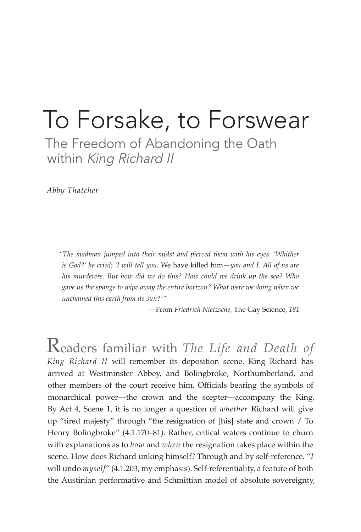# To Forsake, to Forswear

The Freedom of Abandoning the Oath within King Richard II

*Abby Thatcher*

*"The madman jumped into their midst and pierced them with his eyes. 'Whither is God?' he cried; 'I will tell you.* We have killed him*—you and I. All of us are his murderers. But how did we do this? How could we drink up the sea? Who gave us the sponge to wipe away the entire horizon? What were we doing when we unchained this earth from its sun?'"*

—From *Friedrich Nietzsche,* The Gay Science*, 181*

Readers familiar with *The Life and Death of King Richard II* will remember its deposition scene. King Richard has arrived at Westminster Abbey, and Bolingbroke, Northumberland, and other members of the court receive him. Officials bearing the symbols of monarchical power—the crown and the scepter—accompany the King. By Act 4, Scene 1, it is no longer a question of *whether* Richard will give up "tired majesty" through "the resignation of [his] state and crown / To Henry Bolingbroke" (4.1.170–81). Rather, critical waters continue to churn with explanations as to *how* and *when* the resignation takes place within the scene. How does Richard unking himself? Through and by self-reference. "*I*  will undo *myself*" (4.1.203, my emphasis). Self-referentiality, a feature of both the Austinian performative and Schmittian model of absolute sovereignty,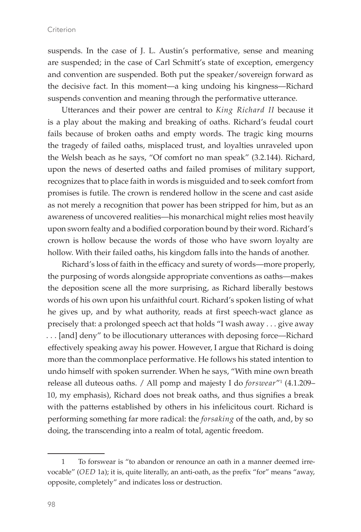suspends. In the case of J. L. Austin's performative, sense and meaning are suspended; in the case of Carl Schmitt's state of exception, emergency and convention are suspended. Both put the speaker/sovereign forward as the decisive fact. In this moment—a king undoing his kingness—Richard suspends convention and meaning through the performative utterance.

Utterances and their power are central to *King Richard II* because it is a play about the making and breaking of oaths. Richard's feudal court fails because of broken oaths and empty words. The tragic king mourns the tragedy of failed oaths, misplaced trust, and loyalties unraveled upon the Welsh beach as he says, "Of comfort no man speak" (3.2.144). Richard, upon the news of deserted oaths and failed promises of military support, recognizes that to place faith in words is misguided and to seek comfort from promises is futile. The crown is rendered hollow in the scene and cast aside as not merely a recognition that power has been stripped for him, but as an awareness of uncovered realities—his monarchical might relies most heavily upon sworn fealty and a bodified corporation bound by their word. Richard's crown is hollow because the words of those who have sworn loyalty are hollow. With their failed oaths, his kingdom falls into the hands of another.

Richard's loss of faith in the efficacy and surety of words—more properly, the purposing of words alongside appropriate conventions as oaths—makes the deposition scene all the more surprising, as Richard liberally bestows words of his own upon his unfaithful court. Richard's spoken listing of what he gives up, and by what authority, reads at first speech-wact glance as precisely that: a prolonged speech act that holds "I wash away . . . give away . . . [and] deny" to be illocutionary utterances with deposing force—Richard effectively speaking away his power. However, I argue that Richard is doing more than the commonplace performative. He follows his stated intention to undo himself with spoken surrender. When he says, "With mine own breath release all duteous oaths. / All pomp and majesty I do *forswear*"1 (4.1.209– 10, my emphasis), Richard does not break oaths, and thus signifies a break with the patterns established by others in his infelicitous court. Richard is performing something far more radical: the *forsaking* of the oath, and, by so doing, the transcending into a realm of total, agentic freedom.

<sup>1</sup> To forswear is "to abandon or renounce an oath in a manner deemed irrevocable" (*OED* 1a); it is, quite literally, an anti-oath, as the prefix "for" means "away, opposite, completely" and indicates loss or destruction.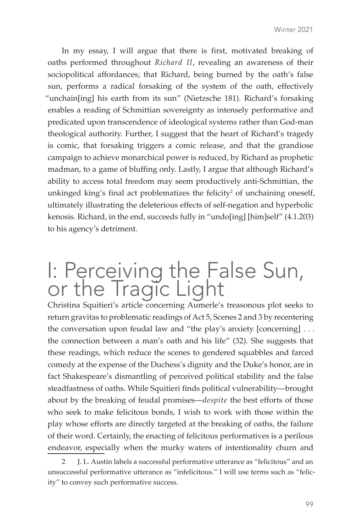In my essay, I will argue that there is first, motivated breaking of oaths performed throughout *Richard II*, revealing an awareness of their sociopolitical affordances; that Richard, being burned by the oath's false sun, performs a radical forsaking of the system of the oath, effectively "unchain[ing] his earth from its sun" (Nietzsche 181). Richard's forsaking enables a reading of Schmittian sovereignty as intensely performative and predicated upon transcendence of ideological systems rather than God-man theological authority. Further, I suggest that the heart of Richard's tragedy is comic, that forsaking triggers a comic release, and that the grandiose campaign to achieve monarchical power is reduced, by Richard as prophetic madman, to a game of bluffing only. Lastly, I argue that although Richard's ability to access total freedom may seem productively anti-Schmittian, the unkinged king's final act problematizes the felicity<sup>2</sup> of unchaining oneself, ultimately illustrating the deleterious effects of self-negation and hyperbolic kenosis. Richard, in the end, succeeds fully in "undo[ing] [him]self" (4.1.203) to his agency's detriment.

## I: Perceiving the False Sun, or the Tragic Light

Christina Squitieri's article concerning Aumerle's treasonous plot seeks to return gravitas to problematic readings of Act 5, Scenes 2 and 3 by recentering the conversation upon feudal law and "the play's anxiety [concerning] . . . the connection between a man's oath and his life" (32). She suggests that these readings, which reduce the scenes to gendered squabbles and farced comedy at the expense of the Duchess's dignity and the Duke's honor, are in fact Shakespeare's dismantling of perceived political stability and the false steadfastness of oaths. While Squitieri finds political vulnerability—brought about by the breaking of feudal promises—*despite* the best efforts of those who seek to make felicitous bonds, I wish to work with those within the play whose efforts are directly targeted at the breaking of oaths, the failure of their word. Certainly, the enacting of felicitous performatives is a perilous endeavor, especially when the murky waters of intentionality churn and

<sup>2</sup> J. L. Austin labels a successful performative utterance as "felicitous" and an unsuccessful performative utterance as "infelicitous." I will use terms such as "felicity" to convey such performative success.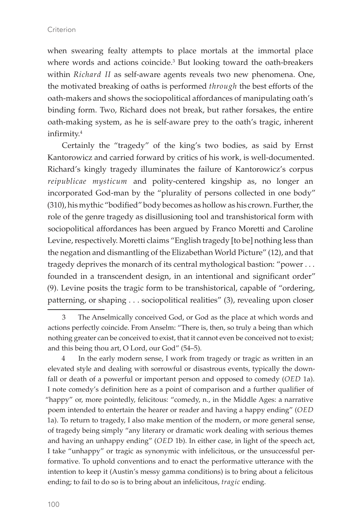when swearing fealty attempts to place mortals at the immortal place where words and actions coincide.<sup>3</sup> But looking toward the oath-breakers within *Richard II* as self-aware agents reveals two new phenomena. One, the motivated breaking of oaths is performed *through* the best efforts of the oath-makers and shows the sociopolitical affordances of manipulating oath's binding form. Two, Richard does not break, but rather forsakes, the entire oath-making system, as he is self-aware prey to the oath's tragic, inherent infirmity.4

Certainly the "tragedy" of the king's two bodies, as said by Ernst Kantorowicz and carried forward by critics of his work, is well-documented. Richard's kingly tragedy illuminates the failure of Kantorowicz's corpus *reipublicae mysticum* and polity-centered kingship as, no longer an incorporated God-man by the "plurality of persons collected in one body" (310), his mythic "bodified" body becomes as hollow as his crown. Further, the role of the genre tragedy as disillusioning tool and transhistorical form with sociopolitical affordances has been argued by Franco Moretti and Caroline Levine, respectively. Moretti claims "English tragedy [to be] nothing less than the negation and dismantling of the Elizabethan World Picture" (12), and that tragedy deprives the monarch of its central mythological bastion: "power . . . founded in a transcendent design, in an intentional and significant order" (9). Levine posits the tragic form to be transhistorical, capable of "ordering, patterning, or shaping . . . sociopolitical realities" (3), revealing upon closer

<sup>3</sup> The Anselmically conceived God, or God as the place at which words and actions perfectly coincide. From Anselm: "There is, then, so truly a being than which nothing greater can be conceived to exist, that it cannot even be conceived not to exist; and this being thou art, O Lord, our God" (54–5).

<sup>4</sup> In the early modern sense, I work from tragedy or tragic as written in an elevated style and dealing with sorrowful or disastrous events, typically the downfall or death of a powerful or important person and opposed to comedy (*OED* 1a). I note comedy's definition here as a point of comparison and a further qualifier of "happy" or, more pointedly, felicitous: "comedy, n., in the Middle Ages: a narrative poem intended to entertain the hearer or reader and having a happy ending" (*OED* 1a). To return to tragedy, I also make mention of the modern, or more general sense, of tragedy being simply "any literary or dramatic work dealing with serious themes and having an unhappy ending" (*OED* 1b). In either case, in light of the speech act, I take "unhappy" or tragic as synonymic with infelicitous, or the unsuccessful performative. To uphold conventions and to enact the performative utterance with the intention to keep it (Austin's messy gamma conditions) is to bring about a felicitous ending; to fail to do so is to bring about an infelicitous, *tragic* ending.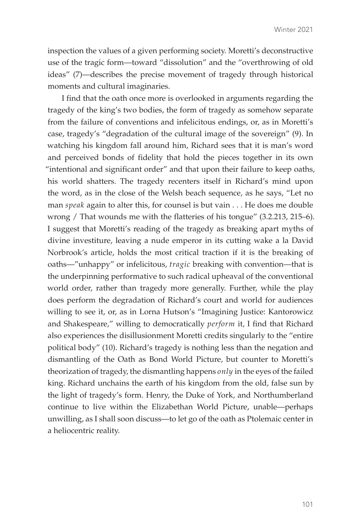inspection the values of a given performing society. Moretti's deconstructive use of the tragic form—toward "dissolution" and the "overthrowing of old ideas" (7)—describes the precise movement of tragedy through historical moments and cultural imaginaries.

I find that the oath once more is overlooked in arguments regarding the tragedy of the king's two bodies, the form of tragedy as somehow separate from the failure of conventions and infelicitous endings, or, as in Moretti's case, tragedy's "degradation of the cultural image of the sovereign" (9). In watching his kingdom fall around him, Richard sees that it is man's word and perceived bonds of fidelity that hold the pieces together in its own "intentional and significant order" and that upon their failure to keep oaths, his world shatters. The tragedy recenters itself in Richard's mind upon the word, as in the close of the Welsh beach sequence, as he says, "Let no man *speak* again to alter this, for counsel is but vain . . . He does me double wrong / That wounds me with the flatteries of his tongue" (3.2.213, 215–6). I suggest that Moretti's reading of the tragedy as breaking apart myths of divine investiture, leaving a nude emperor in its cutting wake a la David Norbrook's article, holds the most critical traction if it is the breaking of oaths—"unhappy" or infelicitous, *tragic* breaking with convention—that is the underpinning performative to such radical upheaval of the conventional world order, rather than tragedy more generally. Further, while the play does perform the degradation of Richard's court and world for audiences willing to see it, or, as in Lorna Hutson's "Imagining Justice: Kantorowicz and Shakespeare," willing to democratically *perform* it, I find that Richard also experiences the disillusionment Moretti credits singularly to the "entire political body" (10). Richard's tragedy is nothing less than the negation and dismantling of the Oath as Bond World Picture, but counter to Moretti's theorization of tragedy, the dismantling happens *only* in the eyes of the failed king. Richard unchains the earth of his kingdom from the old, false sun by the light of tragedy's form. Henry, the Duke of York, and Northumberland continue to live within the Elizabethan World Picture, unable—perhaps unwilling, as I shall soon discuss—to let go of the oath as Ptolemaic center in a heliocentric reality.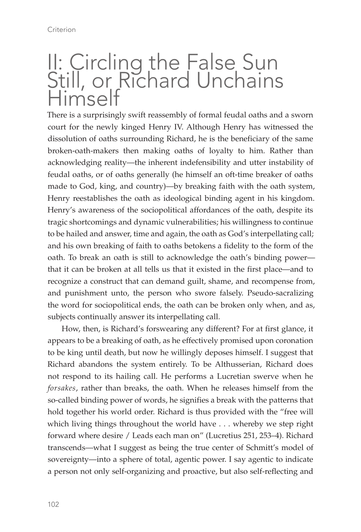## II: Circling the False Sun Still, or Richard Unchains Himself

There is a surprisingly swift reassembly of formal feudal oaths and a sworn court for the newly kinged Henry IV. Although Henry has witnessed the dissolution of oaths surrounding Richard, he is the beneficiary of the same broken-oath-makers then making oaths of loyalty to him. Rather than acknowledging reality—the inherent indefensibility and utter instability of feudal oaths, or of oaths generally (he himself an oft-time breaker of oaths made to God, king, and country)—by breaking faith with the oath system, Henry reestablishes the oath as ideological binding agent in his kingdom. Henry's awareness of the sociopolitical affordances of the oath, despite its tragic shortcomings and dynamic vulnerabilities; his willingness to continue to be hailed and answer, time and again, the oath as God's interpellating call; and his own breaking of faith to oaths betokens a fidelity to the form of the oath. To break an oath is still to acknowledge the oath's binding power that it can be broken at all tells us that it existed in the first place—and to recognize a construct that can demand guilt, shame, and recompense from, and punishment unto, the person who swore falsely. Pseudo-sacralizing the word for sociopolitical ends, the oath can be broken only when, and as, subjects continually answer its interpellating call.

How, then, is Richard's forswearing any different? For at first glance, it appears to be a breaking of oath, as he effectively promised upon coronation to be king until death, but now he willingly deposes himself. I suggest that Richard abandons the system entirely. To be Althusserian, Richard does not respond to its hailing call. He performs a Lucretian swerve when he *forsakes*, rather than breaks, the oath. When he releases himself from the so-called binding power of words, he signifies a break with the patterns that hold together his world order. Richard is thus provided with the "free will which living things throughout the world have . . . whereby we step right forward where desire / Leads each man on" (Lucretius 251, 253–4). Richard transcends—what I suggest as being the true center of Schmitt's model of sovereignty—into a sphere of total, agentic power. I say agentic to indicate a person not only self-organizing and proactive, but also self-reflecting and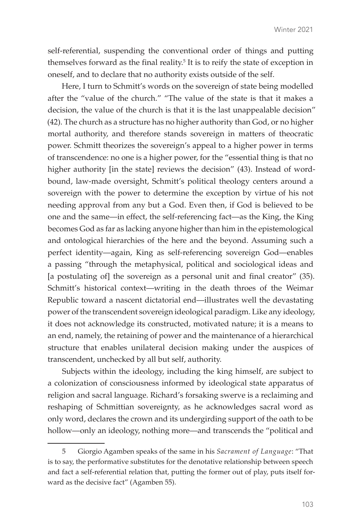self-referential, suspending the conventional order of things and putting themselves forward as the final reality.<sup>5</sup> It is to reify the state of exception in oneself, and to declare that no authority exists outside of the self.

Here, I turn to Schmitt's words on the sovereign of state being modelled after the "value of the church." "The value of the state is that it makes a decision, the value of the church is that it is the last unappealable decision" (42). The church as a structure has no higher authority than God, or no higher mortal authority, and therefore stands sovereign in matters of theocratic power. Schmitt theorizes the sovereign's appeal to a higher power in terms of transcendence: no one is a higher power, for the "essential thing is that no higher authority [in the state] reviews the decision" (43). Instead of wordbound, law-made oversight, Schmitt's political theology centers around a sovereign with the power to determine the exception by virtue of his not needing approval from any but a God. Even then, if God is believed to be one and the same—in effect, the self-referencing fact—as the King, the King becomes God as far as lacking anyone higher than him in the epistemological and ontological hierarchies of the here and the beyond. Assuming such a perfect identity—again, King as self-referencing sovereign God—enables a passing "through the metaphysical, political and sociological ideas and [a postulating of] the sovereign as a personal unit and final creator" (35). Schmitt's historical context—writing in the death throes of the Weimar Republic toward a nascent dictatorial end—illustrates well the devastating power of the transcendent sovereign ideological paradigm. Like any ideology, it does not acknowledge its constructed, motivated nature; it is a means to an end, namely, the retaining of power and the maintenance of a hierarchical structure that enables unilateral decision making under the auspices of transcendent, unchecked by all but self, authority.

Subjects within the ideology, including the king himself, are subject to a colonization of consciousness informed by ideological state apparatus of religion and sacral language. Richard's forsaking swerve is a reclaiming and reshaping of Schmittian sovereignty, as he acknowledges sacral word as only word, declares the crown and its undergirding support of the oath to be hollow—only an ideology, nothing more—and transcends the "political and

<sup>5</sup> Giorgio Agamben speaks of the same in his *Sacrament of Language*: "That is to say, the performative substitutes for the denotative relationship between speech and fact a self-referential relation that, putting the former out of play, puts itself forward as the decisive fact" (Agamben 55).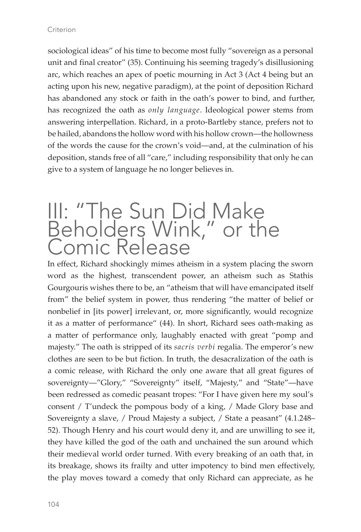sociological ideas" of his time to become most fully "sovereign as a personal unit and final creator" (35). Continuing his seeming tragedy's disillusioning arc, which reaches an apex of poetic mourning in Act 3 (Act 4 being but an acting upon his new, negative paradigm), at the point of deposition Richard has abandoned any stock or faith in the oath's power to bind, and further, has recognized the oath as *only language*. Ideological power stems from answering interpellation. Richard, in a proto-Bartleby stance, prefers not to be hailed, abandons the hollow word with his hollow crown—the hollowness of the words the cause for the crown's void—and, at the culmination of his deposition, stands free of all "care," including responsibility that only he can give to a system of language he no longer believes in.

### III: "The Sun Did Make Beholders Wink," or the Comic Release

In effect, Richard shockingly mimes atheism in a system placing the sworn word as the highest, transcendent power, an atheism such as Stathis Gourgouris wishes there to be, an "atheism that will have emancipated itself from" the belief system in power, thus rendering "the matter of belief or nonbelief in [its power] irrelevant, or, more significantly, would recognize it as a matter of performance" (44). In short, Richard sees oath-making as a matter of performance only, laughably enacted with great "pomp and majesty." The oath is stripped of its *sacris verbi* regalia. The emperor's new clothes are seen to be but fiction. In truth, the desacralization of the oath is a comic release, with Richard the only one aware that all great figures of sovereignty—"Glory," "Sovereignty" itself, "Majesty," and "State"—have been redressed as comedic peasant tropes: "For I have given here my soul's consent / T'undeck the pompous body of a king, / Made Glory base and Sovereignty a slave, / Proud Majesty a subject, / State a peasant" (4.1.248– 52). Though Henry and his court would deny it, and are unwilling to see it, they have killed the god of the oath and unchained the sun around which their medieval world order turned. With every breaking of an oath that, in its breakage, shows its frailty and utter impotency to bind men effectively, the play moves toward a comedy that only Richard can appreciate, as he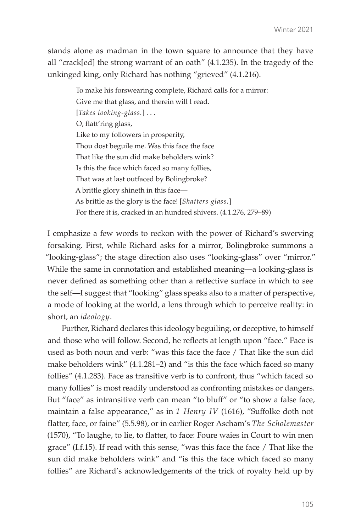stands alone as madman in the town square to announce that they have all "crack[ed] the strong warrant of an oath" (4.1.235). In the tragedy of the unkinged king, only Richard has nothing "grieved" (4.1.216).

> To make his forswearing complete, Richard calls for a mirror: Give me that glass, and therein will I read. [*Takes looking-glass.*] . . . O, flatt'ring glass, Like to my followers in prosperity, Thou dost beguile me. Was this face the face That like the sun did make beholders wink? Is this the face which faced so many follies, That was at last outfaced by Bolingbroke? A brittle glory shineth in this face— As brittle as the glory is the face! [*Shatters glass.*] For there it is, cracked in an hundred shivers. (4.1.276, 279–89)

I emphasize a few words to reckon with the power of Richard's swerving forsaking. First, while Richard asks for a mirror, Bolingbroke summons a "looking-glass"; the stage direction also uses "looking-glass" over "mirror." While the same in connotation and established meaning—a looking-glass is never defined as something other than a reflective surface in which to see the self—I suggest that "looking" glass speaks also to a matter of perspective, a mode of looking at the world, a lens through which to perceive reality: in short, an *ideology*.

Further, Richard declares this ideology beguiling, or deceptive, to himself and those who will follow. Second, he reflects at length upon "face." Face is used as both noun and verb: "was this face the face / That like the sun did make beholders wink" (4.1.281–2) and "is this the face which faced so many follies" (4.1.283). Face as transitive verb is to confront, thus "which faced so many follies" is most readily understood as confronting mistakes or dangers. But "face" as intransitive verb can mean "to bluff" or "to show a false face, maintain a false appearance," as in *1 Henry IV* (1616), "Suffolke doth not flatter, face, or faine" (5.5.98), or in earlier Roger Ascham's *The Scholemaster*  (1570), "To laughe, to lie, to flatter, to face: Foure waies in Court to win men grace" (I.f.15). If read with this sense, "was this face the face / That like the sun did make beholders wink" and "is this the face which faced so many follies" are Richard's acknowledgements of the trick of royalty held up by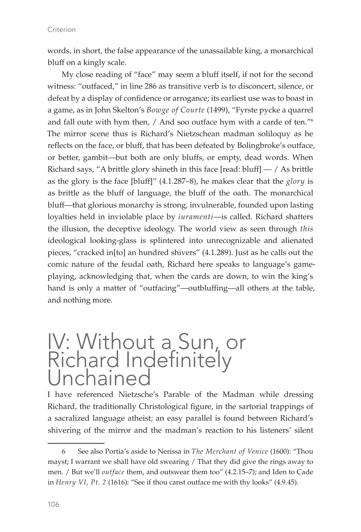words, in short, the false appearance of the unassailable king, a monarchical bluff on a kingly scale.

My close reading of "face" may seem a bluff itself, if not for the second witness: "outfaced," in line 286 as transitive verb is to disconcert, silence, or defeat by a display of confidence or arrogance; its earliest use was to boast in a game, as in John Skelton's *Bowge of Courte* (1499), "Fyrste pycke a quarrel and fall oute with hym then, / And soo outface hym with a carde of ten."<sup>6</sup> The mirror scene thus is Richard's Nietzschean madman soliloquy as he reflects on the face, or bluff, that has been defeated by Bolingbroke's outface, or better, gambit—but both are only bluffs, or empty, dead words. When Richard says, "A brittle glory shineth in this face [read: bluff]  $-$  / As brittle as the glory is the face [bluff]" (4.1.287–8), he makes clear that the *glory* is as brittle as the bluff of language, the bluff of the oath. The monarchical bluff—that glorious monarchy is strong, invulnerable, founded upon lasting loyalties held in inviolable place by *iuramenti*—is called. Richard shatters the illusion, the deceptive ideology. The world view as seen through *this*  ideological looking-glass is splintered into unrecognizable and alienated pieces, "cracked in[to] an hundred shivers" (4.1.289). Just as he calls out the comic nature of the feudal oath, Richard here speaks to language's gameplaying, acknowledging that, when the cards are down, to win the king's hand is only a matter of "outfacing"—outbluffing—all others at the table, and nothing more.

### IV: Without a Sun, or Richard Indefinitely Unchained

I have referenced Nietzsche's Parable of the Madman while dressing Richard, the traditionally Christological figure, in the sartorial trappings of a sacralized language atheist; an easy parallel is found between Richard's shivering of the mirror and the madman's reaction to his listeners' silent

<sup>6</sup> See also Portia's aside to Nerissa in *The Merchant of Venice* (1600): "Thou mayst; I warrant we shall have old swearing / That they did give the rings away to men. / But we'll *outface* them, and outswear them too" (4.2.15–7); and Iden to Cade in *Henry VI, Pt. 2* (1616): "See if thou canst outface me with thy looks" (4.9.45).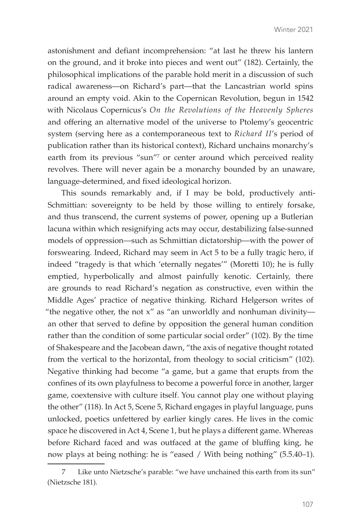astonishment and defiant incomprehension: "at last he threw his lantern on the ground, and it broke into pieces and went out" (182). Certainly, the philosophical implications of the parable hold merit in a discussion of such radical awareness—on Richard's part—that the Lancastrian world spins around an empty void. Akin to the Copernican Revolution, begun in 1542 with Nicolaus Copernicus's *On the Revolutions of the Heavenly Spheres* and offering an alternative model of the universe to Ptolemy's geocentric system (serving here as a contemporaneous text to *Richard II*'s period of publication rather than its historical context), Richard unchains monarchy's earth from its previous "sun"<sup>7</sup> or center around which perceived reality revolves. There will never again be a monarchy bounded by an unaware, language-determined, and fixed ideological horizon.

This sounds remarkably and, if I may be bold, productively anti-Schmittian: sovereignty to be held by those willing to entirely forsake, and thus transcend, the current systems of power, opening up a Butlerian lacuna within which resignifying acts may occur, destabilizing false-sunned models of oppression—such as Schmittian dictatorship—with the power of forswearing. Indeed, Richard may seem in Act 5 to be a fully tragic hero, if indeed "tragedy is that which 'eternally negates'" (Moretti 10); he is fully emptied, hyperbolically and almost painfully kenotic. Certainly, there are grounds to read Richard's negation as constructive, even within the Middle Ages' practice of negative thinking. Richard Helgerson writes of "the negative other, the not  $x''$  as "an unworldly and nonhuman divinityan other that served to define by opposition the general human condition rather than the condition of some particular social order" (102). By the time of Shakespeare and the Jacobean dawn, "the axis of negative thought rotated from the vertical to the horizontal, from theology to social criticism" (102). Negative thinking had become "a game, but a game that erupts from the confines of its own playfulness to become a powerful force in another, larger game, coextensive with culture itself. You cannot play one without playing the other" (118). In Act 5, Scene 5, Richard engages in playful language, puns unlocked, poetics unfettered by earlier kingly cares. He lives in the comic space he discovered in Act 4, Scene 1, but he plays a different game. Whereas before Richard faced and was outfaced at the game of bluffing king, he now plays at being nothing: he is "eased / With being nothing" (5.5.40–1).

Like unto Nietzsche's parable: "we have unchained this earth from its sun" (Nietzsche 181).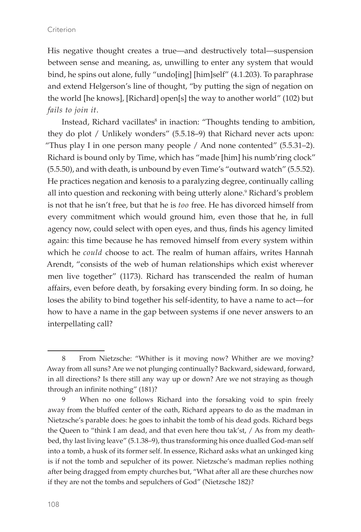His negative thought creates a true—and destructively total—suspension between sense and meaning, as, unwilling to enter any system that would bind, he spins out alone, fully "undo[ing] [him]self" (4.1.203). To paraphrase and extend Helgerson's line of thought, "by putting the sign of negation on the world [he knows], [Richard] open[s] the way to another world" (102) but *fails to join it*.

Instead, Richard vacillates<sup>8</sup> in inaction: "Thoughts tending to ambition, they do plot / Unlikely wonders" (5.5.18–9) that Richard never acts upon: "Thus play I in one person many people / And none contented" (5.5.31–2). Richard is bound only by Time, which has "made [him] his numb'ring clock" (5.5.50), and with death, is unbound by even Time's "outward watch" (5.5.52). He practices negation and kenosis to a paralyzing degree, continually calling all into question and reckoning with being utterly alone.9 Richard's problem is not that he isn't free, but that he is *too* free. He has divorced himself from every commitment which would ground him, even those that he, in full agency now, could select with open eyes, and thus, finds his agency limited again: this time because he has removed himself from every system within which he *could* choose to act. The realm of human affairs, writes Hannah Arendt, "consists of the web of human relationships which exist wherever men live together" (1173). Richard has transcended the realm of human affairs, even before death, by forsaking every binding form. In so doing, he loses the ability to bind together his self-identity, to have a name to act—for how to have a name in the gap between systems if one never answers to an interpellating call?

<sup>8</sup> From Nietzsche: "Whither is it moving now? Whither are we moving? Away from all suns? Are we not plunging continually? Backward, sideward, forward, in all directions? Is there still any way up or down? Are we not straying as though through an infinite nothing" (181)?

<sup>9</sup> When no one follows Richard into the forsaking void to spin freely away from the bluffed center of the oath, Richard appears to do as the madman in Nietzsche's parable does: he goes to inhabit the tomb of his dead gods. Richard begs the Queen to "think I am dead, and that even here thou tak'st,  $/$  As from my deathbed, thy last living leave" (5.1.38–9), thus transforming his once dualled God-man self into a tomb, a husk of its former self. In essence, Richard asks what an unkinged king is if not the tomb and sepulcher of its power. Nietzsche's madman replies nothing after being dragged from empty churches but, "What after all are these churches now if they are not the tombs and sepulchers of God" (Nietzsche 182)?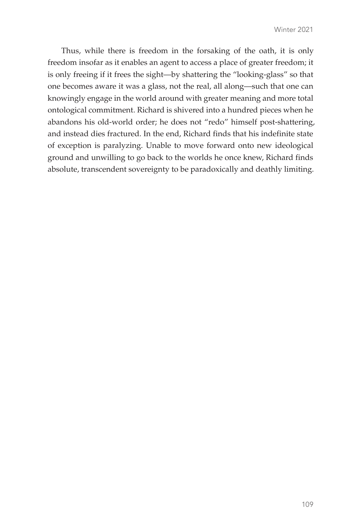Thus, while there is freedom in the forsaking of the oath, it is only freedom insofar as it enables an agent to access a place of greater freedom; it is only freeing if it frees the sight—by shattering the "looking-glass" so that one becomes aware it was a glass, not the real, all along—such that one can knowingly engage in the world around with greater meaning and more total ontological commitment. Richard is shivered into a hundred pieces when he abandons his old-world order; he does not "redo" himself post-shattering, and instead dies fractured. In the end, Richard finds that his indefinite state of exception is paralyzing. Unable to move forward onto new ideological ground and unwilling to go back to the worlds he once knew, Richard finds absolute, transcendent sovereignty to be paradoxically and deathly limiting.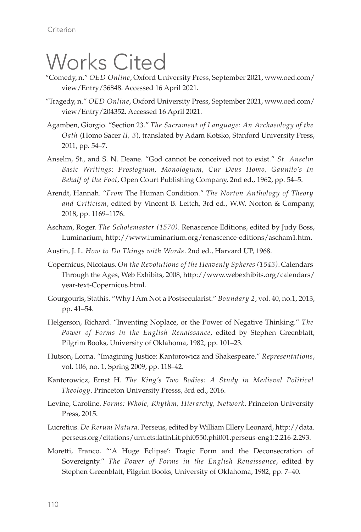# Works Cited

- "Comedy, n." *OED Online*, Oxford University Press, September 2021, www.oed.com/ view/Entry/36848. Accessed 16 April 2021.
- "Tragedy, n." *OED Online*, Oxford University Press, September 2021, www.oed.com/ view/Entry/204352. Accessed 16 April 2021.
- Agamben, Giorgio. "Section 23." *The Sacrament of Language: An Archaeology of the Oath* (Homo Sacer *II, 3*), translated by Adam Kotsko, Stanford University Press, 2011, pp. 54–7.
- Anselm, St., and S. N. Deane. "God cannot be conceived not to exist." *St. Anselm Basic Writings: Proslogium, Monologium, Cur Deus Homo, Gaunilo's In Behalf of the Fool*, Open Court Publishing Company, 2nd ed., 1962, pp. 54–5.
- Arendt, Hannah. "*From* The Human Condition." *The Norton Anthology of Theory and Criticism*, edited by Vincent B. Leitch, 3rd ed., W.W. Norton & Company, 2018, pp. 1169–1176.
- Ascham, Roger. *The Scholemaster (1570)*. Renascence Editions, edited by Judy Boss, Luminarium, http://www.luminarium.org/renascence-editions/ascham1.htm.
- Austin, J. L. *How to Do Things with Words*. 2nd ed., Harvard UP, 1968.
- Copernicus, Nicolaus. *On the Revolutions of the Heavenly Spheres (1543)*. Calendars Through the Ages, Web Exhibits, 2008, http://www.webexhibits.org/calendars/ year-text-Copernicus.html.
- Gourgouris, Stathis. "Why I Am Not a Postsecularist." *Boundary 2*, vol. 40, no.1, 2013, pp. 41–54.
- Helgerson, Richard. "Inventing Noplace, or the Power of Negative Thinking." *The Power of Forms in the English Renaissance*, edited by Stephen Greenblatt, Pilgrim Books, University of Oklahoma, 1982, pp. 101–23.
- Hutson, Lorna. "Imagining Justice: Kantorowicz and Shakespeare." *Representations*, vol. 106, no. 1, Spring 2009, pp. 118–42.
- Kantorowicz, Ernst H. *The King's Two Bodies: A Study in Medieval Political Theology*. Princeton University Presss, 3rd ed., 2016.
- Levine, Caroline. *Forms: Whole, Rhythm, Hierarchy, Network*. Princeton University Press, 2015.
- Lucretius. *De Rerum Natura*. Perseus, edited by William Ellery Leonard, http://data. perseus.org/citations/urn:cts:latinLit:phi0550.phi001.perseus-eng1:2.216-2.293.
- Moretti, Franco. "'A Huge Eclipse': Tragic Form and the Deconsecration of Sovereignty." *The Power of Forms in the English Renaissance*, edited by Stephen Greenblatt, Pilgrim Books, University of Oklahoma, 1982, pp. 7–40.